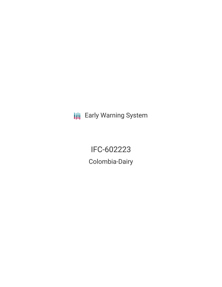**III** Early Warning System

IFC-602223 Colombia-Dairy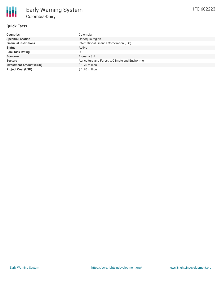## **Quick Facts**

| <b>Countries</b>               | Colombia                                          |
|--------------------------------|---------------------------------------------------|
| <b>Specific Location</b>       | Orinoquía region                                  |
| <b>Financial Institutions</b>  | International Finance Corporation (IFC)           |
| <b>Status</b>                  | Active                                            |
| <b>Bank Risk Rating</b>        | U                                                 |
| <b>Borrower</b>                | Alguería S.A                                      |
| <b>Sectors</b>                 | Agriculture and Forestry, Climate and Environment |
| <b>Investment Amount (USD)</b> | $$1.70$ million                                   |
| <b>Project Cost (USD)</b>      | \$1.70 million                                    |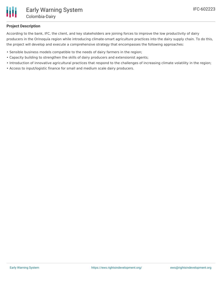

## **Project Description**

According to the bank, IFC, the client, and key stakeholders are joining forces to improve the low productivity of dairy producers in the Orinoquía region while introducing climate-smart agriculture practices into the dairy supply chain. To do this, the project will develop and execute a comprehensive strategy that encompasses the following approaches:

- Sensible business models compatible to the needs of dairy farmers in the region;
- Capacity building to strengthen the skills of dairy producers and extensionist agents;
- Introduction of innovative agricultural practices that respond to the challenges of increasing climate volatility in the region;
- Access to input/logistic finance for small and medium scale dairy producers.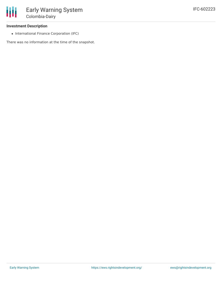## **Investment Description**

• International Finance Corporation (IFC)

There was no information at the time of the snapshot.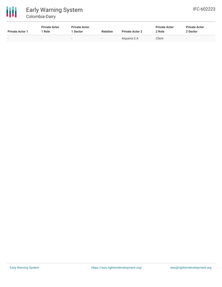

| <b>Private Actor 1</b>   | <b>Private Actor</b><br>Role | <b>Private Actor</b><br><b>Sector</b> | <b>Relation</b>          | <b>Private Actor 2</b> | <b>Private Actor</b><br>2 Role | <b>Private Actor</b><br>2 Sector |
|--------------------------|------------------------------|---------------------------------------|--------------------------|------------------------|--------------------------------|----------------------------------|
| $\overline{\phantom{a}}$ | $\,$                         | $\overline{\phantom{0}}$              | $\overline{\phantom{a}}$ | Alguería S.A           | Client                         | $\overline{\phantom{a}}$         |